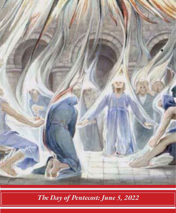

*The Day of Pentecost: June 5, 2022*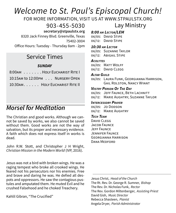# *Welcome to St. Paul's Episcopal Church!*

FOR MORE INFORMATION, VISIT US AT WWW.STPAULSTX.ORG

903-455-5030

 **secretary@stpaulstx.org**

8320 Jack Finney Blvd. Greenville, Texas 75402-3004

Office Hours: Tuesday - Thursday 8am - 2pm

## Service Times

## *SUNDAY*

| 8:00AM HOLY EUCHARIST RITE I    |  |
|---------------------------------|--|
| 10:15AM to 12:00PM NURSERY OPEN |  |
| 10:30am HOIY EUCHARIST RITE II  |  |

## *Morsel for Meditation*

The Christian and good works. Although we cannot be saved by works, we also cannot be saved without them. Good works are not the way of salvation, but its proper and necessary evidence. A faith which does not express itself in works is dead.

John R.W. Stott, and Christopher J H Wright, *Christian Mission in the Modern World* (IVP, 2016).

Jesus was not a bird with broken wings. He was a raging tempest who broke all crooked wings. He feared not his persecutors nor his enemies. Free and brave and daring he was. He defied all despots and oppressors. He saw the contagious pustules and amputated them. He muted Evil and he crushed Falsehood and he choked Treachery.

Kahlil Gibran, "The Crucified"

## Lay Ministry *8:00 am Lector/LEM*

06/05: DAVID STIPE 06/12: DAVID STIPE

## *10:30 am Lector*

06/05: Suzanne Taylor 06/12: Abigail Stipe

#### *Acolytes*

06/05: MATT WOLFF 06/12: DAVID CLEGG

#### *Altar Guild*

06/05: Laura Funk, Georgianna Harrison, Gail Rolston, Nancy Wyant

## *Vestry Person Of The Day*

06/05: JEFF FAUNCE, BETH LACHNITT 06/12: MARIE AUGHTRY, SUZANNE TAYLOR

## *Intercessory Prayer*

06/05: JO DODSON 06/12: MARIE AUGHTRY

## *Tech Team*

David CLEGG JACOB FAUNCE Jeff Faunce Jennifer Faunce Georgianna Harrison DANA MEDEORD

Jesus Christ, *Head of the Church* The Rt. Rev. Dr. George R. Sumner, *Bishop* The Rev. Dr. Nicholas Funk, *Rector* The Rev. Gordon Miltenberger, *Assisting Priest* David Gish, *Music Director* Rebecca Shasteen, *Pianist* Angela Dryer, *Parish Administrator*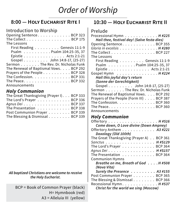# *Order of Worship*

## **8:00 — Holy Eucharist Rite I**

## Introduction to Worship

| Opening Sentence. BCP 323                                      |
|----------------------------------------------------------------|
| The Collect BCP 175                                            |
| The Lessons                                                    |
| First Reading Genesis 11:1-9                                   |
| Psalm Psalm 104:25-35, 37                                      |
| Epistle Acts 2:1-21                                            |
| Gospel John 14:8-17, (25-27)                                   |
| Sermon The Rev. Dr. Nicholas Funk                              |
| The Renewal of Baptismal Vows. BCP 292                         |
| Prayers of the People BCP 328                                  |
| The Confession. BCP 331                                        |
| The Peace. $\ldots$ . $\ldots$ . $\ldots$ . $\ldots$ . BCP 332 |
| Announcements                                                  |

## *Holy Communion*

| The Great Thanksgiving (Prayer I). BCP 333 |  |
|--------------------------------------------|--|
| The Lord's Prayer BCP 336                  |  |
| Agnus Dei BCP 337                          |  |
| The Presentation BCP 338                   |  |
| Post Communion Prayer BCP 339              |  |
| The Blessing & Dismissal BCP 339           |  |

*All baptized Christians are welcome to receive the Holy Eucharist.* 

BCP = Book of Common Prayer (black) H= Hymnbook (red) A3 = Alleluia III (yellow)

## **10:30 — Holy Eucharist Rite II**

| Processional Hymn $\ldots \ldots \ldots \ldots$ H#225    |  |
|----------------------------------------------------------|--|
| Hail thee, festival day! (Salve festa dies)              |  |
| Opening Sentence. BCP 355                                |  |
| Gloria in excelsis H #280                                |  |
| The Collect $\ldots \ldots \ldots \ldots \ldots$ BCP 227 |  |
| The Lessons                                              |  |
| First Reading Genesis 11:1-9                             |  |
| Psalm Psalm 104:25-35, 37                                |  |
| Epistle Acts 2:1-21                                      |  |
| Gospel Hymn H #224                                       |  |
| Hail this joyful day's return                            |  |
| (Sonne der Gerechtigkeit)                                |  |
| Gospel John 14:8-17, (25-27)                             |  |
| Sermon The Rev. Dr. Nicholas Funk                        |  |
| The Renewal of Baptismal Vows. BCP 292                   |  |
| Prayers of the People (Form III) BCP 387                 |  |
| The Confession. $\ldots$ . BCP 360                       |  |
| The Peace. $\dots$ . BCP 360                             |  |
| Announcements                                            |  |
| $II - I - I$                                             |  |

## *Holy Communion*

| Offertory $\dots \dots \dots \dots \dots \dots \dots$ H#516 |
|-------------------------------------------------------------|
| Come down, O Love divine (Down Ampney)                      |
| Offertory Anthem A3 #221                                    |
| Doxology (Old 100th)                                        |
| The Great Thanksgiving (Prayer A) BCP 361                   |
| Sanctus H $\#S129$                                          |
| The Lord's Prayer BCP 364                                   |
| Agnus Dei H #S157                                           |
| The Presentation BCP 364                                    |
| <b>Communion Hymns</b>                                      |
| Breathe on me, Breath of God H #508                         |
| (Nova Vita)                                                 |
| Surely the Presence A3 #155                                 |
| Post Communion Prayer BCP 365                               |
| The Blessing & Dismissal BCP 366                            |
| Recessional Hymn. H #537                                    |
| Chaint fourth caused days cine (Messeul)                    |

*Christ for the world we sing (Moscow)*